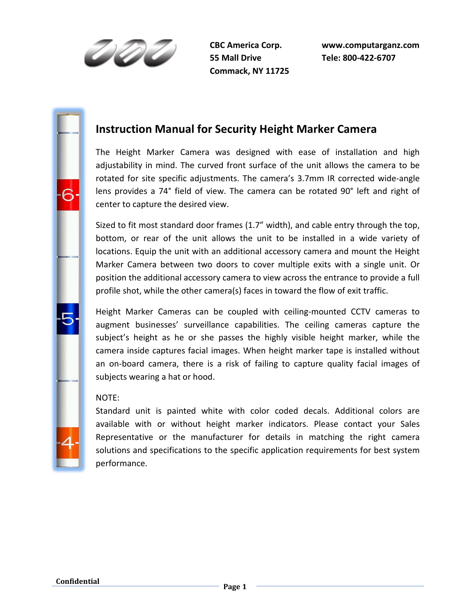191

**55 Mall Drive Tele: 800-422-6707 Commack, NY 11725** 

# **Instruction Manual for Security Height Marker Camera**

The Height Marker Camera was designed with ease of installation and high adjustability in mind. The curved front surface of the unit allows the camera to be rotated for site specific adjustments. The camera's 3.7mm IR corrected wide-angle lens provides a 74° field of view. The camera can be rotated 90° left and right of center to capture the desired view.

Sized to fit most standard door frames (1.7" width), and cable entry through the top, bottom, or rear of the unit allows the unit to be installed in a wide variety of locations. Equip the unit with an additional accessory camera and mount the Height Marker Camera between two doors to cover multiple exits with a single unit. Or position the additional accessory camera to view across the entrance to provide a full profile shot, while the other camera(s) faces in toward the flow of exit traffic.

Height Marker Cameras can be coupled with ceiling-mounted CCTV cameras to augment businesses' surveillance capabilities. The ceiling cameras capture the subject's height as he or she passes the highly visible height marker, while the camera inside captures facial images. When height marker tape is installed without an on-board camera, there is a risk of failing to capture quality facial images of subjects wearing a hat or hood.

## NOTE:

Standard unit is painted white with color coded decals. Additional colors are available with or without height marker indicators. Please contact your Sales Representative or the manufacturer for details in matching the right camera solutions and specifications to the specific application requirements for best system performance.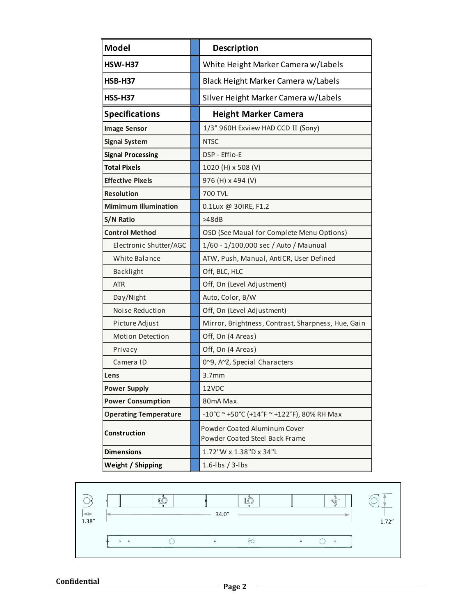| <b>Model</b>                 | <b>Description</b>                                             |
|------------------------------|----------------------------------------------------------------|
| <b>HSW-H37</b>               | White Height Marker Camera w/Labels                            |
| <b>HSB-H37</b>               | Black Height Marker Camera w/Labels                            |
| <b>HSS-H37</b>               | Silver Height Marker Camera w/Labels                           |
| <b>Specifications</b>        | <b>Height Marker Camera</b>                                    |
| <b>Image Sensor</b>          | 1/3" 960H Exview HAD CCD II (Sony)                             |
| <b>Signal System</b>         | <b>NTSC</b>                                                    |
| <b>Signal Processing</b>     | DSP - Effio-E                                                  |
| <b>Total Pixels</b>          | 1020 (H) x 508 (V)                                             |
| <b>Effective Pixels</b>      | 976 (H) x 494 (V)                                              |
| <b>Resolution</b>            | <b>700 TVL</b>                                                 |
| <b>Mimimum Illumination</b>  | 0.1Lux @ 30IRE, F1.2                                           |
| S/N Ratio                    | >48dB                                                          |
| <b>Control Method</b>        | OSD (See Maual for Complete Menu Options)                      |
| Electronic Shutter/AGC       | 1/60 - 1/100,000 sec / Auto / Maunual                          |
| White Balance                | ATW, Push, Manual, AntiCR, User Defined                        |
| Backlight                    | Off, BLC, HLC                                                  |
| <b>ATR</b>                   | Off, On (Level Adjustment)                                     |
| Day/Night                    | Auto, Color, B/W                                               |
| Noise Reduction              | Off, On (Level Adjustment)                                     |
| Picture Adjust               | Mirror, Brightness, Contrast, Sharpness, Hue, Gain             |
| Motion Detection             | Off, On (4 Areas)                                              |
| Privacy                      | Off, On (4 Areas)                                              |
| Camera ID                    | 0~9, A~Z, Special Characters                                   |
| Lens                         | 3.7 <sub>mm</sub>                                              |
| <b>Power Supply</b>          | 12VDC                                                          |
| <b>Power Consumption</b>     | 80mA Max.                                                      |
| <b>Operating Temperature</b> | $-10^{\circ}$ C ~ +50°C (+14°F ~ +122°F), 80% RH Max           |
| Construction                 | Powder Coated Aluminum Cover<br>Powder Coated Steel Back Frame |
| <b>Dimensions</b>            | 1.72"W x 1.38"D x 34"L                                         |
| Weight / Shipping            | $1.6$ -lbs / 3-lbs                                             |

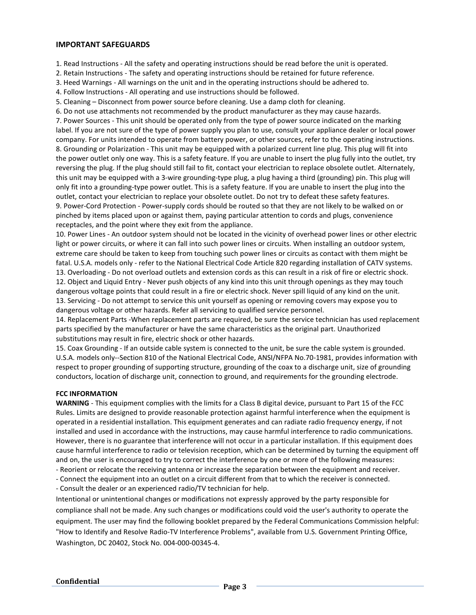#### **IMPORTANT SAFEGUARDS**

1. Read Instructions - All the safety and operating instructions should be read before the unit is operated.

2. Retain Instructions - The safety and operating instructions should be retained for future reference.

3. Heed Warnings - All warnings on the unit and in the operating instructions should be adhered to.

4. Follow Instructions - All operating and use instructions should be followed.

5. Cleaning – Disconnect from power source before cleaning. Use a damp cloth for cleaning.

6. Do not use attachments not recommended by the product manufacturer as they may cause hazards. 7. Power Sources - This unit should be operated only from the type of power source indicated on the marking label. If you are not sure of the type of power supply you plan to use, consult your appliance dealer or local power company. For units intended to operate from battery power, or other sources, refer to the operating instructions. 8. Grounding or Polarization - This unit may be equipped with a polarized current line plug. This plug will fit into the power outlet only one way. This is a safety feature. If you are unable to insert the plug fully into the outlet, try reversing the plug. If the plug should still fail to fit, contact your electrician to replace obsolete outlet. Alternately, this unit may be equipped with a 3-wire grounding-type plug, a plug having a third (grounding) pin. This plug will only fit into a grounding-type power outlet. This is a safety feature. If you are unable to insert the plug into the outlet, contact your electrician to replace your obsolete outlet. Do not try to defeat these safety features. 9. Power-Cord Protection - Power-supply cords should be routed so that they are not likely to be walked on or pinched by items placed upon or against them, paying particular attention to cords and plugs, convenience receptacles, and the point where they exit from the appliance.

10. Power Lines - An outdoor system should not be located in the vicinity of overhead power lines or other electric light or power circuits, or where it can fall into such power lines or circuits. When installing an outdoor system, extreme care should be taken to keep from touching such power lines or circuits as contact with them might be fatal. U.S.A. models only - refer to the National Electrical Code Article 820 regarding installation of CATV systems. 13. Overloading - Do not overload outlets and extension cords as this can result in a risk of fire or electric shock. 12. Object and Liquid Entry - Never push objects of any kind into this unit through openings as they may touch dangerous voltage points that could result in a fire or electric shock. Never spill liquid of any kind on the unit. 13. Servicing - Do not attempt to service this unit yourself as opening or removing covers may expose you to

dangerous voltage or other hazards. Refer all servicing to qualified service personnel.

14. Replacement Parts -When replacement parts are required, be sure the service technician has used replacement parts specified by the manufacturer or have the same characteristics as the original part. Unauthorized substitutions may result in fire, electric shock or other hazards.

15. Coax Grounding - If an outside cable system is connected to the unit, be sure the cable system is grounded. U.S.A. models only--Section 810 of the National Electrical Code, ANSI/NFPA No.70-1981, provides information with respect to proper grounding of supporting structure, grounding of the coax to a discharge unit, size of grounding conductors, location of discharge unit, connection to ground, and requirements for the grounding electrode.

#### **FCC INFORMATION**

**WARNING** - This equipment complies with the limits for a Class B digital device, pursuant to Part 15 of the FCC Rules. Limits are designed to provide reasonable protection against harmful interference when the equipment is operated in a residential installation. This equipment generates and can radiate radio frequency energy, if not installed and used in accordance with the instructions, may cause harmful interference to radio communications. However, there is no guarantee that interference will not occur in a particular installation. If this equipment does cause harmful interference to radio or television reception, which can be determined by turning the equipment off and on, the user is encouraged to try to correct the interference by one or more of the following measures:

- Reorient or relocate the receiving antenna or increase the separation between the equipment and receiver.

- Connect the equipment into an outlet on a circuit different from that to which the receiver is connected.

- Consult the dealer or an experienced radio/TV technician for help.

Intentional or unintentional changes or modifications not expressly approved by the party responsible for compliance shall not be made. Any such changes or modifications could void the user's authority to operate the equipment. The user may find the following booklet prepared by the Federal Communications Commission helpful: "How to Identify and Resolve Radio-TV Interference Problems", available from U.S. Government Printing Office, Washington, DC 20402, Stock No. 004-000-00345-4.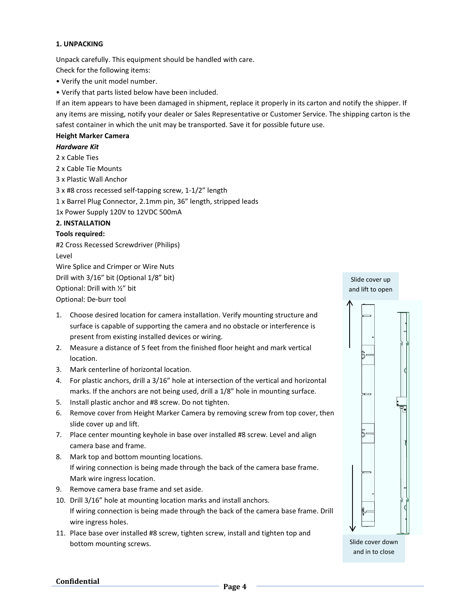#### **1. UNPACKING**

Unpack carefully. This equipment should be handled with care. Check for the following items:

• Verify the unit model number.

• Verify that parts listed below have been included.

If an item appears to have been damaged in shipment, replace it properly in its carton and notify the shipper. If any items are missing, notify your dealer or Sales Representative or Customer Service. The shipping carton is the safest container in which the unit may be transported. Save it for possible future use.

#### **Height Marker Camera**

#### *Hardware Kit*

2 x Cable Ties

2 x Cable Tie Mounts

3 x Plastic Wall Anchor

3 x #8 cross recessed self-tapping screw, 1-1/2" length

1 x Barrel Plug Connector, 2.1mm pin, 36" length, stripped leads

1x Power Supply 120V to 12VDC 500mA

#### **2. INSTALLATION**

#### **Tools required:**

#2 Cross Recessed Screwdriver (Philips) Level Wire Splice and Crimper or Wire Nuts Drill with 3/16" bit (Optional 1/8" bit) Optional: Drill with ½" bit Optional: De-burr tool

- 1. Choose desired location for camera installation. Verify mounting structure and surface is capable of supporting the camera and no obstacle or interference is present from existing installed devices or wiring.
- 2. Measure a distance of 5 feet from the finished floor height and mark vertical location.
- 3. Mark centerline of horizontal location.
- 4. For plastic anchors, drill a 3/16" hole at intersection of the vertical and horizontal marks. If the anchors are not being used, drill a 1/8" hole in mounting surface.
- 5. Install plastic anchor and #8 screw. Do not tighten.
- 6. Remove cover from Height Marker Camera by removing screw from top cover, then slide cover up and lift.
- 7. Place center mounting keyhole in base over installed #8 screw. Level and align camera base and frame.
- 8. Mark top and bottom mounting locations. If wiring connection is being made through the back of the camera base frame. Mark wire ingress location.
- 9. Remove camera base frame and set aside.
- 10. Drill 3/16" hole at mounting location marks and install anchors. If wiring connection is being made through the back of the camera base frame. Drill wire ingress holes.
- 11. Place base over installed #8 screw, tighten screw, install and tighten top and bottom mounting screws.

Slide cover up and lift to open



Slide cover down and in to close

**Confidential Page 4**